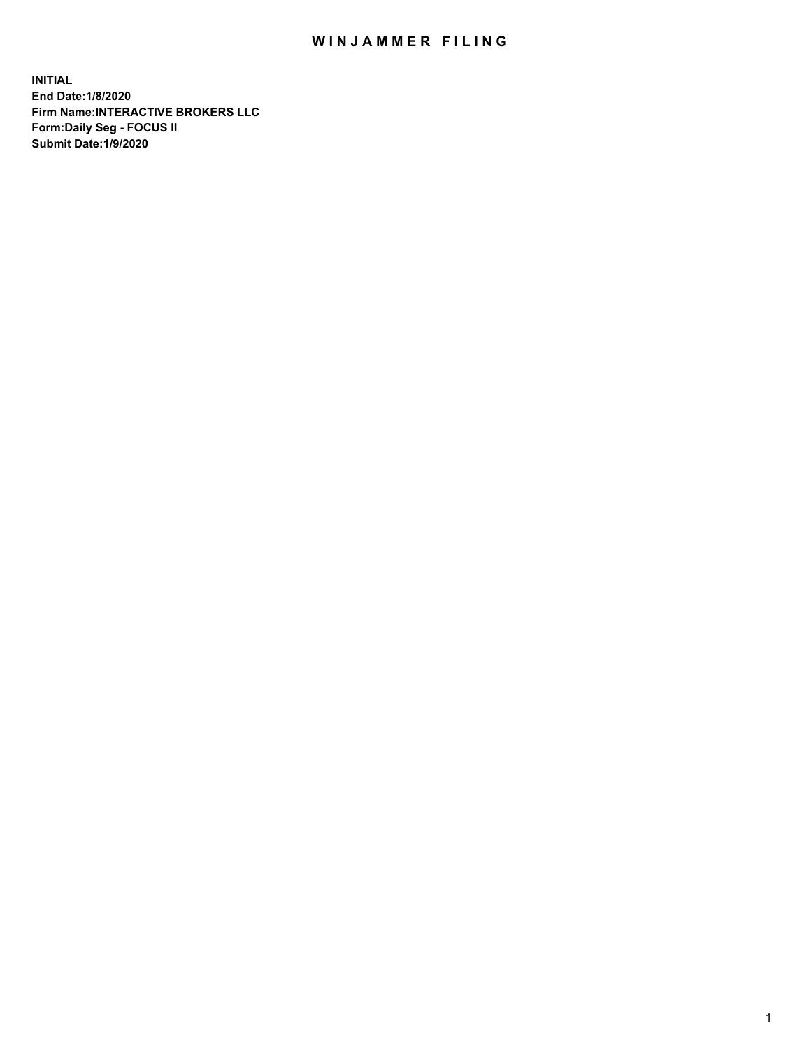## WIN JAMMER FILING

**INITIAL End Date:1/8/2020 Firm Name:INTERACTIVE BROKERS LLC Form:Daily Seg - FOCUS II Submit Date:1/9/2020**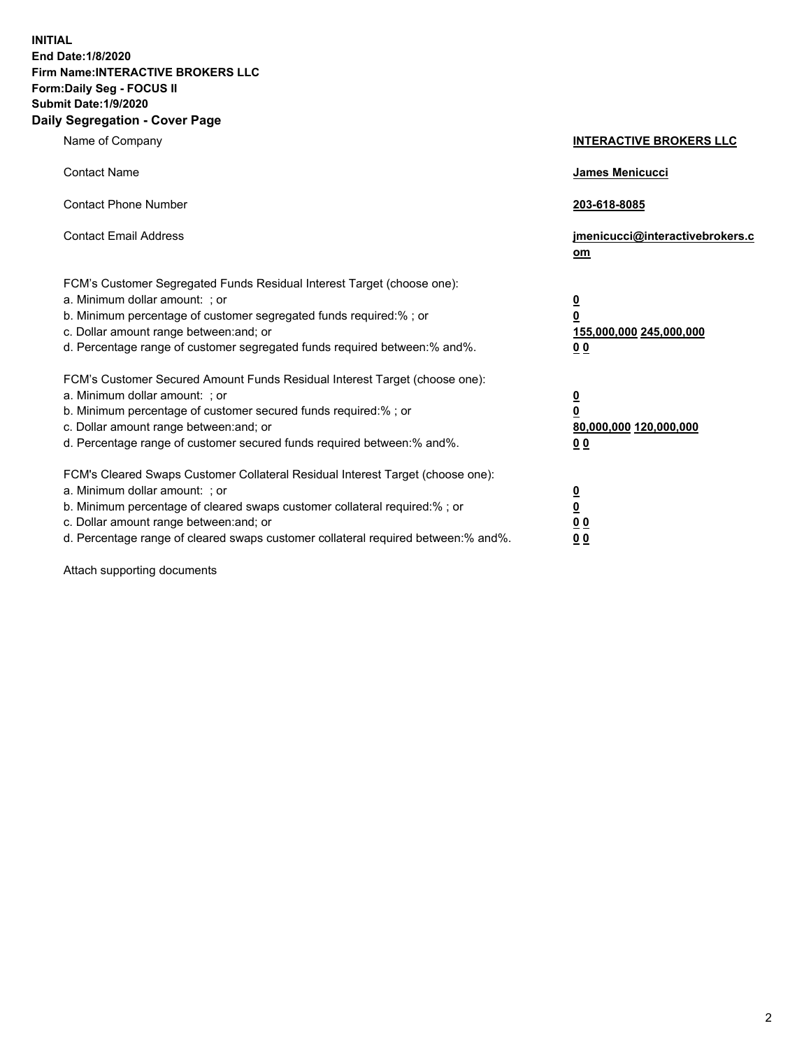**INITIAL End Date:1/8/2020 Firm Name:INTERACTIVE BROKERS LLC Form:Daily Seg - FOCUS II Submit Date:1/9/2020 Daily Segregation - Cover Page**

| Name of Company                                                                                                                                                                                                                                                                                                                | <b>INTERACTIVE BROKERS LLC</b>                                                      |
|--------------------------------------------------------------------------------------------------------------------------------------------------------------------------------------------------------------------------------------------------------------------------------------------------------------------------------|-------------------------------------------------------------------------------------|
| <b>Contact Name</b>                                                                                                                                                                                                                                                                                                            | James Menicucci                                                                     |
| <b>Contact Phone Number</b>                                                                                                                                                                                                                                                                                                    | 203-618-8085                                                                        |
| <b>Contact Email Address</b>                                                                                                                                                                                                                                                                                                   | jmenicucci@interactivebrokers.c<br>om                                               |
| FCM's Customer Segregated Funds Residual Interest Target (choose one):<br>a. Minimum dollar amount: ; or<br>b. Minimum percentage of customer segregated funds required:% ; or<br>c. Dollar amount range between: and; or<br>d. Percentage range of customer segregated funds required between:% and%.                         | $\overline{\mathbf{0}}$<br>$\overline{\mathbf{0}}$<br>155,000,000 245,000,000<br>00 |
| FCM's Customer Secured Amount Funds Residual Interest Target (choose one):<br>a. Minimum dollar amount: ; or<br>b. Minimum percentage of customer secured funds required:% ; or<br>c. Dollar amount range between: and; or<br>d. Percentage range of customer secured funds required between:% and%.                           | $\overline{\mathbf{0}}$<br>$\pmb{0}$<br>80,000,000 120,000,000<br>00                |
| FCM's Cleared Swaps Customer Collateral Residual Interest Target (choose one):<br>a. Minimum dollar amount: ; or<br>b. Minimum percentage of cleared swaps customer collateral required:% ; or<br>c. Dollar amount range between: and; or<br>d. Percentage range of cleared swaps customer collateral required between:% and%. | <u>0</u><br><u>0</u><br>0 <sub>0</sub><br>0 <sub>0</sub>                            |

Attach supporting documents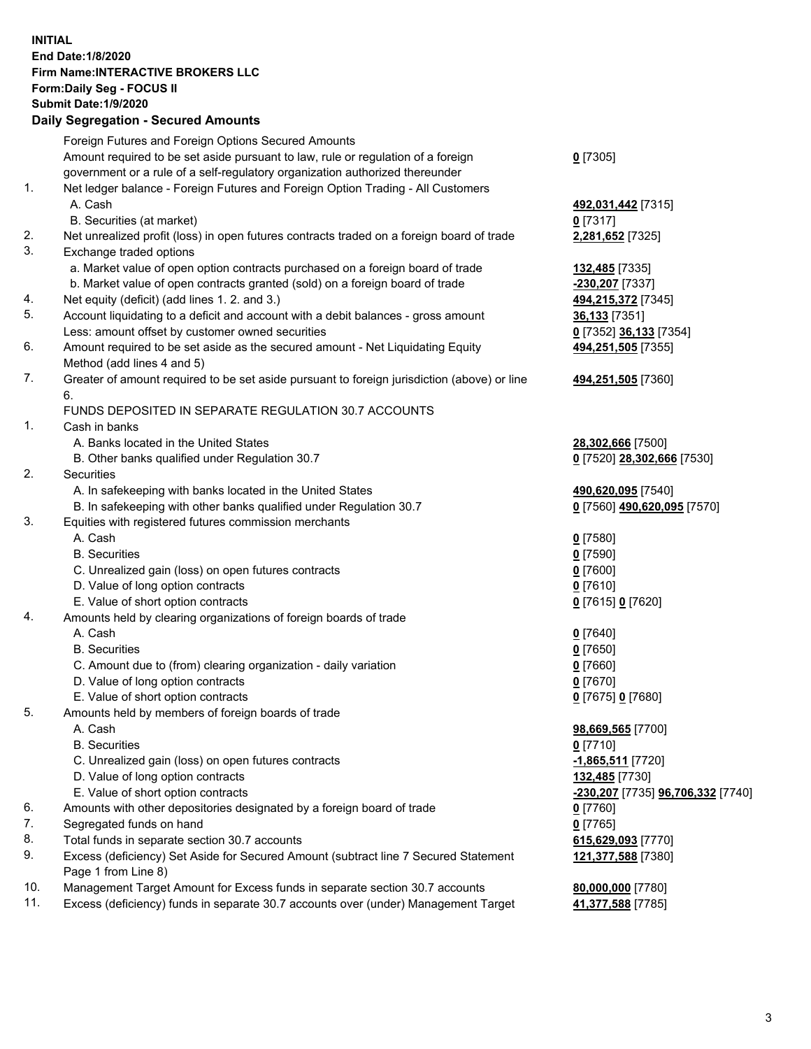## **INITIAL End Date:1/8/2020 Firm Name:INTERACTIVE BROKERS LLC Form:Daily Seg - FOCUS II Submit Date:1/9/2020 Daily Segregation - Secured Amounts**

|                | Foreign Futures and Foreign Options Secured Amounts                                               |                                   |
|----------------|---------------------------------------------------------------------------------------------------|-----------------------------------|
|                | Amount required to be set aside pursuant to law, rule or regulation of a foreign                  | $0$ [7305]                        |
|                | government or a rule of a self-regulatory organization authorized thereunder                      |                                   |
| $\mathbf{1}$ . | Net ledger balance - Foreign Futures and Foreign Option Trading - All Customers                   |                                   |
|                | A. Cash                                                                                           | 492,031,442 [7315]                |
|                | B. Securities (at market)                                                                         | $0$ [7317]                        |
| 2.             | Net unrealized profit (loss) in open futures contracts traded on a foreign board of trade         | 2,281,652 [7325]                  |
| 3.             | Exchange traded options                                                                           |                                   |
|                | a. Market value of open option contracts purchased on a foreign board of trade                    | 132,485 [7335]                    |
|                | b. Market value of open contracts granted (sold) on a foreign board of trade                      | -230,207 [7337]                   |
| 4.             | Net equity (deficit) (add lines 1. 2. and 3.)                                                     | 494,215,372 [7345]                |
| 5.             | Account liquidating to a deficit and account with a debit balances - gross amount                 | 36,133 [7351]                     |
|                | Less: amount offset by customer owned securities                                                  | 0 [7352] 36,133 [7354]            |
| 6.             | Amount required to be set aside as the secured amount - Net Liquidating Equity                    | 494,251,505 [7355]                |
|                | Method (add lines 4 and 5)                                                                        |                                   |
| 7.             | Greater of amount required to be set aside pursuant to foreign jurisdiction (above) or line<br>6. | 494,251,505 [7360]                |
|                | FUNDS DEPOSITED IN SEPARATE REGULATION 30.7 ACCOUNTS                                              |                                   |
| 1.             | Cash in banks                                                                                     |                                   |
|                | A. Banks located in the United States                                                             | 28,302,666 [7500]                 |
|                | B. Other banks qualified under Regulation 30.7                                                    | 0 [7520] 28,302,666 [7530]        |
| 2.             | Securities                                                                                        |                                   |
|                | A. In safekeeping with banks located in the United States                                         | 490,620,095 [7540]                |
|                | B. In safekeeping with other banks qualified under Regulation 30.7                                | 0 [7560] 490,620,095 [7570]       |
| 3.             | Equities with registered futures commission merchants                                             |                                   |
|                | A. Cash                                                                                           | $0$ [7580]                        |
|                | <b>B.</b> Securities                                                                              | $0$ [7590]                        |
|                | C. Unrealized gain (loss) on open futures contracts                                               | $0$ [7600]                        |
|                | D. Value of long option contracts                                                                 | $0$ [7610]                        |
|                | E. Value of short option contracts                                                                | 0 [7615] 0 [7620]                 |
| 4.             | Amounts held by clearing organizations of foreign boards of trade                                 |                                   |
|                | A. Cash                                                                                           | $0$ [7640]                        |
|                | <b>B.</b> Securities                                                                              | $0$ [7650]                        |
|                | C. Amount due to (from) clearing organization - daily variation                                   | $0$ [7660]                        |
|                | D. Value of long option contracts                                                                 | $0$ [7670]                        |
|                | E. Value of short option contracts                                                                | 0 [7675] 0 [7680]                 |
| 5.             | Amounts held by members of foreign boards of trade                                                |                                   |
|                | A. Cash                                                                                           | 98,669,565 [7700]                 |
|                | <b>B.</b> Securities                                                                              | $0$ [7710]                        |
|                | C. Unrealized gain (loss) on open futures contracts                                               | -1,865,511 [7720]                 |
|                | D. Value of long option contracts                                                                 | 132,485 [7730]                    |
|                | E. Value of short option contracts                                                                | -230,207 [7735] 96,706,332 [7740] |
| 6.             | Amounts with other depositories designated by a foreign board of trade                            | $0$ [7760]                        |
| 7.             | Segregated funds on hand                                                                          | $0$ [7765]                        |
| 8.             | Total funds in separate section 30.7 accounts                                                     | 615,629,093 [7770]                |
| 9.             | Excess (deficiency) Set Aside for Secured Amount (subtract line 7 Secured Statement               | 121,377,588 [7380]                |
|                | Page 1 from Line 8)                                                                               |                                   |
| 10.            | Management Target Amount for Excess funds in separate section 30.7 accounts                       | 80,000,000 [7780]                 |
| 11.            | Excess (deficiency) funds in separate 30.7 accounts over (under) Management Target                | 41,377,588 [7785]                 |
|                |                                                                                                   |                                   |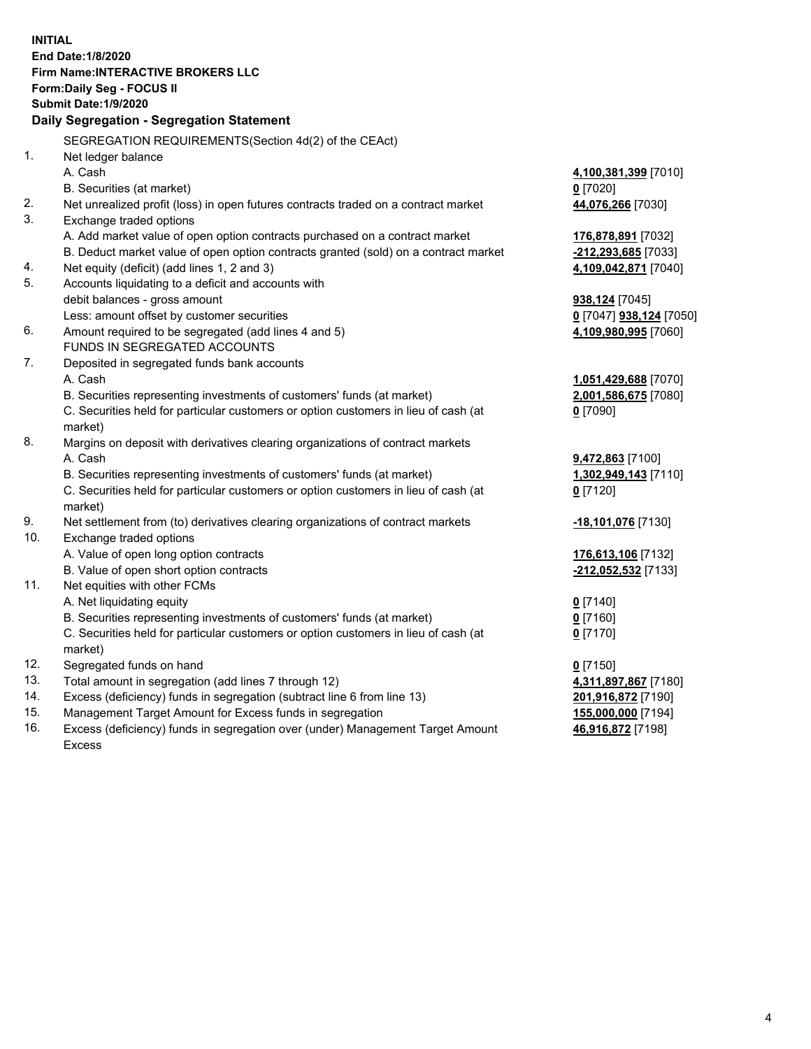**INITIAL End Date:1/8/2020 Firm Name:INTERACTIVE BROKERS LLC Form:Daily Seg - FOCUS II Submit Date:1/9/2020 Daily Segregation - Segregation Statement** SEGREGATION REQUIREMENTS(Section 4d(2) of the CEAct) 1. Net ledger balance A. Cash **4,100,381,399** [7010] B. Securities (at market) **0** [7020] 2. Net unrealized profit (loss) in open futures contracts traded on a contract market **44,076,266** [7030] 3. Exchange traded options A. Add market value of open option contracts purchased on a contract market **176,878,891** [7032] B. Deduct market value of open option contracts granted (sold) on a contract market **-212,293,685** [7033] 4. Net equity (deficit) (add lines 1, 2 and 3) **4,109,042,871** [7040] 5. Accounts liquidating to a deficit and accounts with debit balances - gross amount **938,124** [7045] Less: amount offset by customer securities **0** [7047] **938,124** [7050] 6. Amount required to be segregated (add lines 4 and 5) **4,109,980,995** [7060] FUNDS IN SEGREGATED ACCOUNTS 7. Deposited in segregated funds bank accounts A. Cash **1,051,429,688** [7070] B. Securities representing investments of customers' funds (at market) **2,001,586,675** [7080] C. Securities held for particular customers or option customers in lieu of cash (at market) **0** [7090] 8. Margins on deposit with derivatives clearing organizations of contract markets A. Cash **9,472,863** [7100] B. Securities representing investments of customers' funds (at market) **1,302,949,143** [7110] C. Securities held for particular customers or option customers in lieu of cash (at market) **0** [7120] 9. Net settlement from (to) derivatives clearing organizations of contract markets **-18,101,076** [7130] 10. Exchange traded options A. Value of open long option contracts **176,613,106** [7132] B. Value of open short option contracts **-212,052,532** [7133] 11. Net equities with other FCMs A. Net liquidating equity **0** [7140] B. Securities representing investments of customers' funds (at market) **0** [7160] C. Securities held for particular customers or option customers in lieu of cash (at market) **0** [7170] 12. Segregated funds on hand **0** [7150] 13. Total amount in segregation (add lines 7 through 12) **4,311,897,867** [7180] 14. Excess (deficiency) funds in segregation (subtract line 6 from line 13) **201,916,872** [7190] 15. Management Target Amount for Excess funds in segregation **155,000,000** [7194] 16. Excess (deficiency) funds in segregation over (under) Management Target Amount **46,916,872** [7198]

Excess